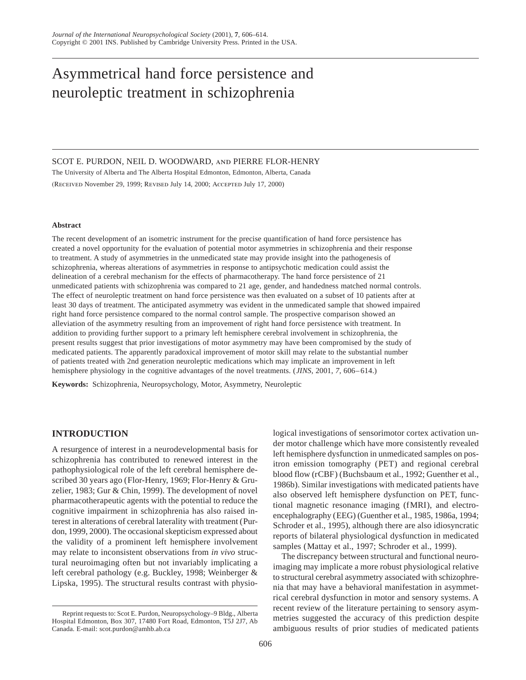# Asymmetrical hand force persistence and neuroleptic treatment in schizophrenia

SCOT E. PURDON, NEIL D. WOODWARD, and PIERRE FLOR-HENRY The University of Alberta and The Alberta Hospital Edmonton, Edmonton, Alberta, Canada (Received November 29, 1999; Revised July 14, 2000; Accepted July 17, 2000)

#### **Abstract**

The recent development of an isometric instrument for the precise quantification of hand force persistence has created a novel opportunity for the evaluation of potential motor asymmetries in schizophrenia and their response to treatment. A study of asymmetries in the unmedicated state may provide insight into the pathogenesis of schizophrenia, whereas alterations of asymmetries in response to antipsychotic medication could assist the delineation of a cerebral mechanism for the effects of pharmacotherapy. The hand force persistence of 21 unmedicated patients with schizophrenia was compared to 21 age, gender, and handedness matched normal controls. The effect of neuroleptic treatment on hand force persistence was then evaluated on a subset of 10 patients after at least 30 days of treatment. The anticipated asymmetry was evident in the unmedicated sample that showed impaired right hand force persistence compared to the normal control sample. The prospective comparison showed an alleviation of the asymmetry resulting from an improvement of right hand force persistence with treatment. In addition to providing further support to a primary left hemisphere cerebral involvement in schizophrenia, the present results suggest that prior investigations of motor asymmetry may have been compromised by the study of medicated patients. The apparently paradoxical improvement of motor skill may relate to the substantial number of patients treated with 2nd generation neuroleptic medications which may implicate an improvement in left hemisphere physiology in the cognitive advantages of the novel treatments. (*JINS*, 2001, *7*, 606–614.)

**Keywords:** Schizophrenia, Neuropsychology, Motor, Asymmetry, Neuroleptic

## **INTRODUCTION**

A resurgence of interest in a neurodevelopmental basis for schizophrenia has contributed to renewed interest in the pathophysiological role of the left cerebral hemisphere described 30 years ago (Flor-Henry, 1969; Flor-Henry & Gruzelier, 1983; Gur & Chin, 1999). The development of novel pharmacotherapeutic agents with the potential to reduce the cognitive impairment in schizophrenia has also raised interest in alterations of cerebral laterality with treatment (Purdon, 1999, 2000). The occasional skepticism expressed about the validity of a prominent left hemisphere involvement may relate to inconsistent observations from *in vivo* structural neuroimaging often but not invariably implicating a left cerebral pathology (e.g. Buckley, 1998; Weinberger & Lipska, 1995). The structural results contrast with physiological investigations of sensorimotor cortex activation under motor challenge which have more consistently revealed left hemisphere dysfunction in unmedicated samples on positron emission tomography (PET) and regional cerebral blood flow (rCBF) (Buchsbaum et al., 1992; Guenther et al., 1986b). Similar investigations with medicated patients have also observed left hemisphere dysfunction on PET, functional magnetic resonance imaging (fMRI), and electroencephalography (EEG) (Guenther et al., 1985, 1986a, 1994; Schroder et al., 1995), although there are also idiosyncratic reports of bilateral physiological dysfunction in medicated samples (Mattay et al., 1997; Schroder et al., 1999).

The discrepancy between structural and functional neuroimaging may implicate a more robust physiological relative to structural cerebral asymmetry associated with schizophrenia that may have a behavioral manifestation in asymmetrical cerebral dysfunction in motor and sensory systems. A recent review of the literature pertaining to sensory asymmetries suggested the accuracy of this prediction despite ambiguous results of prior studies of medicated patients

Reprint requests to: Scot E. Purdon, Neuropsychology–9 Bldg., Alberta Hospital Edmonton, Box 307, 17480 Fort Road, Edmonton, T5J 2J7, Ab Canada. E-mail: scot.purdon@amhb.ab.ca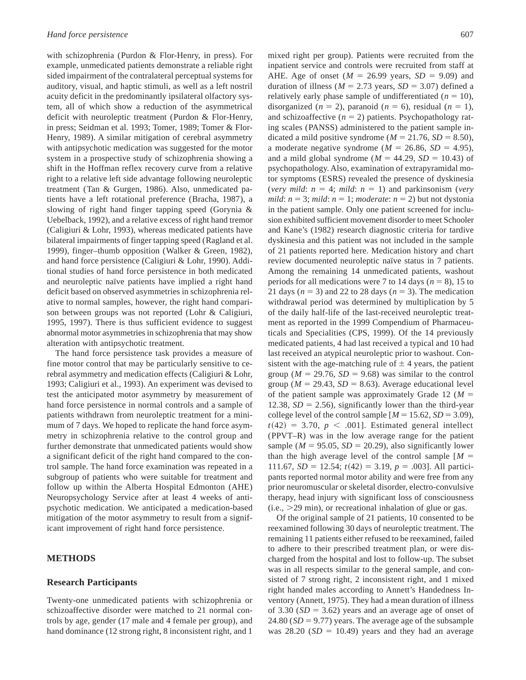with schizophrenia (Purdon & Flor-Henry, in press). For example, unmedicated patients demonstrate a reliable right sided impairment of the contralateral perceptual systems for auditory, visual, and haptic stimuli, as well as a left nostril acuity deficit in the predominantly ipsilateral olfactory system, all of which show a reduction of the asymmetrical deficit with neuroleptic treatment (Purdon & Flor-Henry, in press; Seidman et al. 1993; Tomer, 1989; Tomer & Flor-Henry, 1989). A similar mitigation of cerebral asymmetry with antipsychotic medication was suggested for the motor system in a prospective study of schizophrenia showing a shift in the Hoffman reflex recovery curve from a relative right to a relative left side advantage following neuroleptic treatment (Tan & Gurgen, 1986). Also, unmedicated patients have a left rotational preference (Bracha, 1987), a slowing of right hand finger tapping speed (Gorynia & Uebelback, 1992), and a relative excess of right hand tremor (Caligiuri & Lohr, 1993), whereas medicated patients have bilateral impairments of finger tapping speed (Ragland et al. 1999), finger–thumb opposition (Walker & Green, 1982), and hand force persistence (Caligiuri & Lohr, 1990). Additional studies of hand force persistence in both medicated and neuroleptic naïve patients have implied a right hand deficit based on observed asymmetries in schizophrenia relative to normal samples, however, the right hand comparison between groups was not reported (Lohr & Caligiuri, 1995, 1997). There is thus sufficient evidence to suggest abnormal motor asymmetries in schizophrenia that may show alteration with antipsychotic treatment.

The hand force persistence task provides a measure of fine motor control that may be particularly sensitive to cerebral asymmetry and medication effects (Caligiuri & Lohr, 1993; Caligiuri et al., 1993). An experiment was devised to test the anticipated motor asymmetry by measurement of hand force persistence in normal controls and a sample of patients withdrawn from neuroleptic treatment for a minimum of 7 days. We hoped to replicate the hand force asymmetry in schizophrenia relative to the control group and further demonstrate that unmedicated patients would show a significant deficit of the right hand compared to the control sample. The hand force examination was repeated in a subgroup of patients who were suitable for treatment and follow up within the Alberta Hospital Edmonton (AHE) Neuropsychology Service after at least 4 weeks of antipsychotic medication. We anticipated a medication-based mitigation of the motor asymmetry to result from a significant improvement of right hand force persistence.

# **METHODS**

#### **Research Participants**

Twenty-one unmedicated patients with schizophrenia or schizoaffective disorder were matched to 21 normal controls by age, gender (17 male and 4 female per group), and hand dominance (12 strong right, 8 inconsistent right, and 1 mixed right per group). Patients were recruited from the inpatient service and controls were recruited from staff at AHE. Age of onset  $(M = 26.99$  years,  $SD = 9.09$ ) and duration of illness ( $M = 2.73$  years,  $SD = 3.07$ ) defined a relatively early phase sample of undifferentiated  $(n = 10)$ , disorganized  $(n = 2)$ , paranoid  $(n = 6)$ , residual  $(n = 1)$ , and schizoaffective  $(n = 2)$  patients. Psychopathology rating scales (PANSS) administered to the patient sample indicated a mild positive syndrome ( $M = 21.76$ ,  $SD = 8.50$ ), a moderate negative syndrome ( $M = 26.86$ ,  $SD = 4.95$ ), and a mild global syndrome ( $M = 44.29$ ,  $SD = 10.43$ ) of psychopathology. Also, examination of extrapyramidal motor symptoms (ESRS) revealed the presence of dyskinesia (*very mild*:  $n = 4$ ; *mild*:  $n = 1$ ) and parkinsonism (*very mild*:  $n = 3$ ; *mild*:  $n = 1$ ; *moderate*:  $n = 2$ ) but not dystonia in the patient sample. Only one patient screened for inclusion exhibited sufficient movement disorder to meet Schooler and Kane's (1982) research diagnostic criteria for tardive dyskinesia and this patient was not included in the sample of 21 patients reported here. Medication history and chart review documented neuroleptic naïve status in 7 patients. Among the remaining 14 unmedicated patients, washout periods for all medications were 7 to 14 days ( $n = 8$ ), 15 to 21 days  $(n = 3)$  and 22 to 28 days  $(n = 3)$ . The medication withdrawal period was determined by multiplication by 5 of the daily half-life of the last-received neuroleptic treatment as reported in the 1999 Compendium of Pharmaceuticals and Specialities (CPS, 1999). Of the 14 previously medicated patients, 4 had last received a typical and 10 had last received an atypical neuroleptic prior to washout. Consistent with the age-matching rule of  $\pm$  4 years, the patient group ( $M = 29.76$ ,  $SD = 9.68$ ) was similar to the control group ( $M = 29.43$ ,  $SD = 8.63$ ). Average educational level of the patient sample was approximately Grade 12 ( $M =$ 12.38,  $SD = 2.56$ , significantly lower than the third-year college level of the control sample  $[M = 15.62, SD = 3.09)$ ,  $t(42) = 3.70, p < .001$ . Estimated general intellect (PPVT–R) was in the low average range for the patient sample ( $M = 95.05$ ,  $SD = 20.29$ ), also significantly lower than the high average level of the control sample  $[M =$ 111.67, *SD* = 12.54;  $t(42) = 3.19$ ,  $p = .003$ ]. All participants reported normal motor ability and were free from any prior neuromuscular or skeletal disorder, electro-convulsive therapy, head injury with significant loss of consciousness  $(i.e., >29 \text{ min})$ , or recreational inhalation of glue or gas.

Of the original sample of 21 patients, 10 consented to be reexamined following 30 days of neuroleptic treatment. The remaining 11 patients either refused to be reexamined, failed to adhere to their prescribed treatment plan, or were discharged from the hospital and lost to follow-up. The subset was in all respects similar to the general sample, and consisted of 7 strong right, 2 inconsistent right, and 1 mixed right handed males according to Annett's Handedness Inventory (Annett, 1975). They had a mean duration of illness of 3.30  $(SD = 3.62)$  years and an average age of onset of 24.80  $(SD = 9.77)$  years. The average age of the subsample was  $28.20$  ( $SD = 10.49$ ) years and they had an average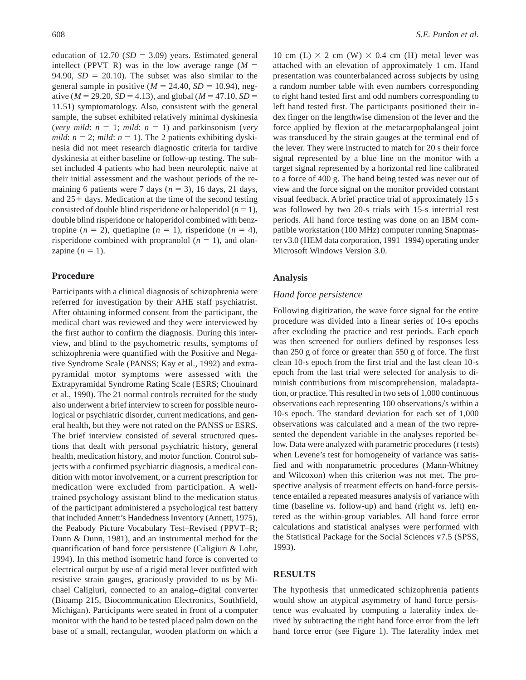education of  $12.70$  (*SD* = 3.09) years. Estimated general intellect (PPVT–R) was in the low average range ( $M =$ 94.90,  $SD = 20.10$ ). The subset was also similar to the general sample in positive  $(M = 24.40, SD = 10.94)$ , negative ( $M = 29.20$ ,  $SD = 4.13$ ), and global ( $M = 47.10$ ,  $SD =$ 11.51) symptomatology. Also, consistent with the general sample, the subset exhibited relatively minimal dyskinesia (*very mild*:  $n = 1$ ; *mild*:  $n = 1$ ) and parkinsonism (*very mild*:  $n = 2$ ; *mild*:  $n = 1$ ). The 2 patients exhibiting dyskinesia did not meet research diagnostic criteria for tardive dyskinesia at either baseline or follow-up testing. The subset included 4 patients who had been neuroleptic naive at their initial assessment and the washout periods of the remaining 6 patients were 7 days  $(n = 3)$ , 16 days, 21 days, and  $25+$  days. Medication at the time of the second testing consisted of double blind risperidone or haloperidol  $(n = 1)$ , double blind risperidone or haloperidol combined with benztropine  $(n = 2)$ , quetiapine  $(n = 1)$ , risperidone  $(n = 4)$ , risperidone combined with propranolol  $(n = 1)$ , and olanzapine  $(n = 1)$ .

#### **Procedure**

Participants with a clinical diagnosis of schizophrenia were referred for investigation by their AHE staff psychiatrist. After obtaining informed consent from the participant, the medical chart was reviewed and they were interviewed by the first author to confirm the diagnosis. During this interview, and blind to the psychometric results, symptoms of schizophrenia were quantified with the Positive and Negative Syndrome Scale (PANSS; Kay et al., 1992) and extrapyramidal motor symptoms were assessed with the Extrapyramidal Syndrome Rating Scale (ESRS; Chouinard et al., 1990). The 21 normal controls recruited for the study also underwent a brief interview to screen for possible neurological or psychiatric disorder, current medications, and general health, but they were not rated on the PANSS or ESRS. The brief interview consisted of several structured questions that dealt with personal psychiatric history, general health, medication history, and motor function. Control subjects with a confirmed psychiatric diagnosis, a medical condition with motor involvement, or a current prescription for medication were excluded from participation. A welltrained psychology assistant blind to the medication status of the participant administered a psychological test battery that included Annett's Handedness Inventory (Annett, 1975), the Peabody Picture Vocabulary Test–Revised (PPVT–R; Dunn & Dunn, 1981), and an instrumental method for the quantification of hand force persistence (Caligiuri & Lohr, 1994). In this method isometric hand force is converted to electrical output by use of a rigid metal lever outfitted with resistive strain gauges, graciously provided to us by Michael Caligiuri, connected to an analog–digital converter (Bioamp 215, Biocommunication Electronics, Southfield, Michigan). Participants were seated in front of a computer monitor with the hand to be tested placed palm down on the base of a small, rectangular, wooden platform on which a

10 cm (L)  $\times$  2 cm (W)  $\times$  0.4 cm (H) metal lever was attached with an elevation of approximately 1 cm. Hand presentation was counterbalanced across subjects by using a random number table with even numbers corresponding to right hand tested first and odd numbers corresponding to left hand tested first. The participants positioned their index finger on the lengthwise dimension of the lever and the force applied by flexion at the metacarpophalangeal joint was transduced by the strain gauges at the terminal end of the lever. They were instructed to match for 20 s their force signal represented by a blue line on the monitor with a target signal represented by a horizontal red line calibrated to a force of 400 g. The hand being tested was never out of view and the force signal on the monitor provided constant visual feedback. A brief practice trial of approximately 15 s was followed by two 20-s trials with 15-s intertrial rest periods. All hand force testing was done on an IBM compatible workstation (100 MHz) computer running Snapmaster v3.0 (HEM data corporation, 1991–1994) operating under Microsoft Windows Version 3.0.

## **Analysis**

#### *Hand force persistence*

Following digitization, the wave force signal for the entire procedure was divided into a linear series of 10-s epochs after excluding the practice and rest periods. Each epoch was then screened for outliers defined by responses less than 250 g of force or greater than 550 g of force. The first clean 10-s epoch from the first trial and the last clean 10-s epoch from the last trial were selected for analysis to diminish contributions from miscomprehension, maladaptation, or practice. This resulted in two sets of 1,000 continuous observations each representing 100 observations/s within a 10-s epoch. The standard deviation for each set of 1,000 observations was calculated and a mean of the two represented the dependent variable in the analyses reported below. Data were analyzed with parametric procedures (*t* tests) when Levene's test for homogeneity of variance was satisfied and with nonparametric procedures (Mann-Whitney and Wilcoxon) when this criterion was not met. The prospective analysis of treatment effects on hand-force persistence entailed a repeated measures analysis of variance with time (baseline *vs.* follow-up) and hand (right *vs.* left) entered as the within-group variables. All hand force error calculations and statistical analyses were performed with the Statistical Package for the Social Sciences v7.5 (SPSS, 1993).

## **RESULTS**

The hypothesis that unmedicated schizophrenia patients would show an atypical asymmetry of hand force persistence was evaluated by computing a laterality index derived by subtracting the right hand force error from the left hand force error (see Figure 1). The laterality index met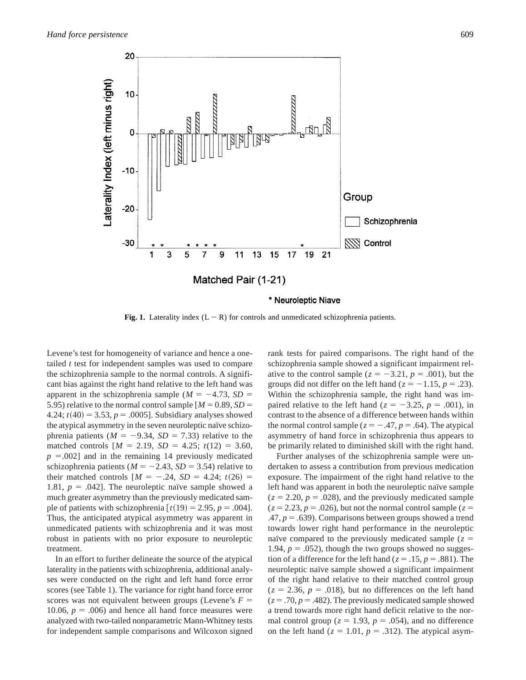

**Fig. 1.** Laterality index  $(L - R)$  for controls and unmedicated schizophrenia patients.

Levene's test for homogeneity of variance and hence a onetailed *t* test for independent samples was used to compare the schizophrenia sample to the normal controls. A significant bias against the right hand relative to the left hand was apparent in the schizophrenia sample ( $M = -4.73$ ,  $SD =$ 5.95) relative to the normal control sample  $[M = 0.89, SD =$ 4.24;  $t(40) = 3.53$ ,  $p = .0005$ ]. Subsidiary analyses showed the atypical asymmetry in the seven neuroleptic naïve schizophrenia patients ( $M = -9.34$ ,  $SD = 7.33$ ) relative to the matched controls  $[M = 2.19, SD = 4.25; t(12) = 3.60,$  $p = 0.002$ ] and in the remaining 14 previously medicated schizophrenia patients ( $M = -2.43$ ,  $SD = 3.54$ ) relative to their matched controls  $[M = -.24, SD = 4.24; t(26) =$ 1.81,  $p = .042$ . The neuroleptic naïve sample showed a much greater asymmetry than the previously medicated sample of patients with schizophrenia  $\left[ t(19) = 2.95, p = .004 \right]$ . Thus, the anticipated atypical asymmetry was apparent in unmedicated patients with schizophrenia and it was most robust in patients with no prior exposure to neuroleptic treatment.

In an effort to further delineate the source of the atypical laterality in the patients with schizophrenia, additional analyses were conducted on the right and left hand force error scores (see Table 1). The variance for right hand force error scores was not equivalent between groups (Levene's  $F =$ 10.06,  $p = .006$ ) and hence all hand force measures were analyzed with two-tailed nonparametric Mann-Whitney tests for independent sample comparisons and Wilcoxon signed rank tests for paired comparisons. The right hand of the schizophrenia sample showed a significant impairment relative to the control sample  $(z = -3.21, p = .001)$ , but the groups did not differ on the left hand ( $z = -1.15$ ,  $p = .23$ ). Within the schizophrenia sample, the right hand was impaired relative to the left hand ( $z = -3.25$ ,  $p = .001$ ), in contrast to the absence of a difference between hands within the normal control sample ( $z = -.47$ ,  $p = .64$ ). The atypical asymmetry of hand force in schizophrenia thus appears to be primarily related to diminished skill with the right hand.

Further analyses of the schizophrenia sample were undertaken to assess a contribution from previous medication exposure. The impairment of the right hand relative to the left hand was apparent in both the neuroleptic naïve sample  $(z = 2.20, p = .028)$ , and the previously medicated sample  $(z = 2.23, p = .026)$ , but not the normal control sample  $(z = 1.026)$ .47,  $p = .639$ ). Comparisons between groups showed a trend towards lower right hand performance in the neuroleptic naïve compared to the previously medicated sample  $(z =$ 1.94,  $p = .052$ ), though the two groups showed no suggestion of a difference for the left hand ( $z = .15$ ,  $p = .881$ ). The neuroleptic naïve sample showed a significant impairment of the right hand relative to their matched control group  $(z = 2.36, p = .018)$ , but no differences on the left hand  $(z = .70, p = .482)$ . The previously medicated sample showed a trend towards more right hand deficit relative to the normal control group ( $z = 1.93$ ,  $p = .054$ ), and no difference on the left hand  $(z = 1.01, p = .312)$ . The atypical asym-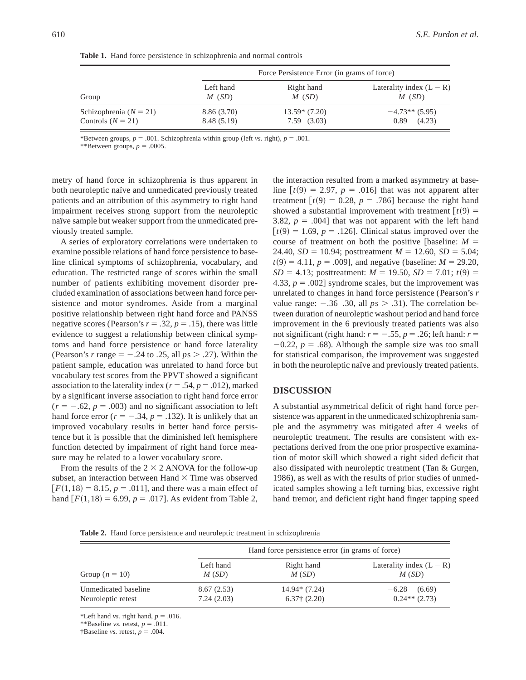| Group                                           | Force Persistence Error (in grams of force) |                                   |                                     |
|-------------------------------------------------|---------------------------------------------|-----------------------------------|-------------------------------------|
|                                                 | Left hand<br>M(SD)                          | Right hand<br>M(SD)               | Laterality index $(L - R)$<br>M(SD) |
| Schizophrenia $(N = 21)$<br>Controls $(N = 21)$ | 8.86 (3.70)<br>8.48 (5.19)                  | $13.59*(7.20)$<br>$7.59$ $(3.03)$ | $-4.73**$ (5.95)<br>(4.23)<br>0.89  |

**Table 1.** Hand force persistence in schizophrenia and normal controls

\*Between groups,  $p = .001$ . Schizophrenia within group (left *vs.* right),  $p = .001$ .

\*\*Between groups,  $p = .0005$ .

metry of hand force in schizophrenia is thus apparent in both neuroleptic naïve and unmedicated previously treated patients and an attribution of this asymmetry to right hand impairment receives strong support from the neuroleptic naïve sample but weaker support from the unmedicated previously treated sample.

A series of exploratory correlations were undertaken to examine possible relations of hand force persistence to baseline clinical symptoms of schizophrenia, vocabulary, and education. The restricted range of scores within the small number of patients exhibiting movement disorder precluded examination of associations between hand force persistence and motor syndromes. Aside from a marginal positive relationship between right hand force and PANSS negative scores (Pearson's  $r = .32$ ,  $p = .15$ ), there was little evidence to suggest a relationship between clinical symptoms and hand force persistence or hand force laterality (Pearson's  $r$  range  $= -0.24$  to .25, all  $ps > 0.27$ ). Within the patient sample, education was unrelated to hand force but vocabulary test scores from the PPVT showed a significant association to the laterality index ( $r = .54$ ,  $p = .012$ ), marked by a significant inverse association to right hand force error  $(r = -.62, p = .003)$  and no significant association to left hand force error  $(r = -.34, p = .132)$ . It is unlikely that an improved vocabulary results in better hand force persistence but it is possible that the diminished left hemisphere function detected by impairment of right hand force measure may be related to a lower vocabulary score.

From the results of the  $2 \times 2$  ANOVA for the follow-up subset, an interaction between Hand  $\times$  Time was observed  $F(1,18) = 8.15$ ,  $p = .011$ ], and there was a main effect of hand  $F(1,18) = 6.99$ ,  $p = .017$ . As evident from Table 2, the interaction resulted from a marked asymmetry at baseline  $\lceil t(9) = 2.97, p = .016 \rceil$  that was not apparent after treatment  $[t(9) = 0.28, p = .786]$  because the right hand showed a substantial improvement with treatment  $[t(9)] =$ 3.82,  $p = .004$ ] that was not apparent with the left hand  $[t(9) = 1.69, p = .126]$ . Clinical status improved over the course of treatment on both the positive [baseline:  $M =$ 24.40,  $SD = 10.94$ ; posttreatment  $M = 12.60$ ,  $SD = 5.04$ ;  $t(9) = 4.11$ ,  $p = .009$ ], and negative (baseline:  $M = 29.20$ ,  $SD = 4.13$ ; posttreatment:  $M = 19.50$ ,  $SD = 7.01$ ;  $t(9) =$ 4.33,  $p = .002$ ] syndrome scales, but the improvement was unrelated to changes in hand force persistence (Pearson's *r* value range:  $-.36-.30$ , all  $ps > .31$ ). The correlation between duration of neuroleptic washout period and hand force improvement in the 6 previously treated patients was also not significant (right hand:  $r = -.55$ ,  $p = .26$ ; left hand:  $r =$  $-0.22$ ,  $p = .68$ ). Although the sample size was too small for statistical comparison, the improvement was suggested in both the neuroleptic naïve and previously treated patients.

# **DISCUSSION**

A substantial asymmetrical deficit of right hand force persistence was apparent in the unmedicated schizophrenia sample and the asymmetry was mitigated after 4 weeks of neuroleptic treatment. The results are consistent with expectations derived from the one prior prospective examination of motor skill which showed a right sided deficit that also dissipated with neuroleptic treatment (Tan & Gurgen, 1986), as well as with the results of prior studies of unmedicated samples showing a left turning bias, excessive right hand tremor, and deficient right hand finger tapping speed

**Table 2.** Hand force persistence and neuroleptic treatment in schizophrenia

| Group $(n = 10)$                           | Hand force persistence error (in grams of force) |                                        |                                      |
|--------------------------------------------|--------------------------------------------------|----------------------------------------|--------------------------------------|
|                                            | Left hand<br>M(SD)                               | Right hand<br>M(SD)                    | Laterality index $(L - R)$<br>M(SD)  |
| Unmedicated baseline<br>Neuroleptic retest | 8.67(2.53)<br>7.24(2.03)                         | $14.94*(7.24)$<br>$6.37\ddagger(2.20)$ | (6.69)<br>$-6.28$<br>$0.24**$ (2.73) |

\*Left hand *vs.* right hand,  $p = .016$ .

\*\*Baseline *vs.* retest,  $p = .011$ .

 $\dagger$ Baseline *vs.* retest,  $p = .004$ .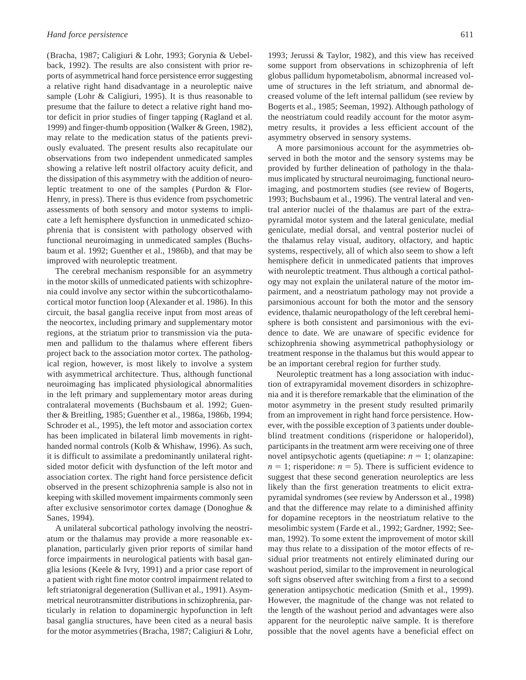(Bracha, 1987; Caligiuri & Lohr, 1993; Gorynia & Uebelback, 1992). The results are also consistent with prior reports of asymmetrical hand force persistence error suggesting a relative right hand disadvantage in a neuroleptic naive sample (Lohr & Caligiuri, 1995). It is thus reasonable to presume that the failure to detect a relative right hand motor deficit in prior studies of finger tapping (Ragland et al. 1999) and finger-thumb opposition (Walker & Green, 1982), may relate to the medication status of the patients previously evaluated. The present results also recapitulate our observations from two independent unmedicated samples showing a relative left nostril olfactory acuity deficit, and the dissipation of this asymmetry with the addition of neuroleptic treatment to one of the samples (Purdon & Flor-Henry, in press). There is thus evidence from psychometric assessments of both sensory and motor systems to implicate a left hemisphere dysfunction in unmedicated schizophrenia that is consistent with pathology observed with functional neuroimaging in unmedicated samples (Buchsbaum et al. 1992; Guenther et al., 1986b), and that may be improved with neuroleptic treatment.

The cerebral mechanism responsible for an asymmetry in the motor skills of unmedicated patients with schizophrenia could involve any sector within the subcorticothalamocortical motor function loop (Alexander et al. 1986). In this circuit, the basal ganglia receive input from most areas of the neocortex, including primary and supplementary motor regions, at the striatum prior to transmission via the putamen and pallidum to the thalamus where efferent fibers project back to the association motor cortex. The pathological region, however, is most likely to involve a system with asymmetrical architecture. Thus, although functional neuroimaging has implicated physiological abnormalities in the left primary and supplementary motor areas during contralateral movements (Buchsbaum et al. 1992; Guenther & Breitling, 1985; Guenther et al., 1986a, 1986b, 1994; Schroder et al., 1995), the left motor and association cortex has been implicated in bilateral limb movements in righthanded normal controls (Kolb & Whishaw, 1996). As such, it is difficult to assimilate a predominantly unilateral rightsided motor deficit with dysfunction of the left motor and association cortex. The right hand force persistence deficit observed in the present schizophrenia sample is also not in keeping with skilled movement impairments commonly seen after exclusive sensorimotor cortex damage (Donoghue & Sanes, 1994).

A unilateral subcortical pathology involving the neostriatum or the thalamus may provide a more reasonable explanation, particularly given prior reports of similar hand force impairments in neurological patients with basal ganglia lesions (Keele & Ivry, 1991) and a prior case report of a patient with right fine motor control impairment related to left striatonigral degeneration (Sullivan et al., 1991). Asymmetrical neurotransmitter distributions in schizophrenia, particularly in relation to dopaminergic hypofunction in left basal ganglia structures, have been cited as a neural basis for the motor asymmetries (Bracha, 1987; Caligiuri & Lohr,

1993; Jerussi & Taylor, 1982), and this view has received some support from observations in schizophrenia of left globus pallidum hypometabolism, abnormal increased volume of structures in the left striatum, and abnormal decreased volume of the left internal pallidum (see review by Bogerts et al., 1985; Seeman, 1992). Although pathology of the neostriatum could readily account for the motor asymmetry results, it provides a less efficient account of the asymmetry observed in sensory systems.

A more parsimonious account for the asymmetries observed in both the motor and the sensory systems may be provided by further delineation of pathology in the thalamus implicated by structural neuroimaging, functional neuroimaging, and postmortem studies (see review of Bogerts, 1993; Buchsbaum et al., 1996). The ventral lateral and ventral anterior nuclei of the thalamus are part of the extrapyramidal motor system and the lateral geniculate, medial geniculate, medial dorsal, and ventral posterior nuclei of the thalamus relay visual, auditory, olfactory, and haptic systems, respectively, all of which also seem to show a left hemisphere deficit in unmedicated patients that improves with neuroleptic treatment. Thus although a cortical pathology may not explain the unilateral nature of the motor impairment, and a neostriatum pathology may not provide a parsimonious account for both the motor and the sensory evidence, thalamic neuropathology of the left cerebral hemisphere is both consistent and parsimonious with the evidence to date. We are unaware of specific evidence for schizophrenia showing asymmetrical pathophysiology or treatment response in the thalamus but this would appear to be an important cerebral region for further study.

Neuroleptic treatment has a long association with induction of extrapyramidal movement disorders in schizophrenia and it is therefore remarkable that the elimination of the motor asymmetry in the present study resulted primarily from an improvement in right hand force persistence. However, with the possible exception of 3 patients under doubleblind treatment conditions (risperidone or haloperidol), participants in the treatment arm were receiving one of three novel antipsychotic agents (quetiapine:  $n = 1$ ; olanzapine:  $n = 1$ ; risperidone:  $n = 5$ ). There is sufficient evidence to suggest that these second generation neuroleptics are less likely than the first generation treatments to elicit extrapyramidal syndromes (see review by Andersson et al., 1998) and that the difference may relate to a diminished affinity for dopamine receptors in the neostriatum relative to the mesolimbic system (Farde et al., 1992; Gardner, 1992; Seeman, 1992). To some extent the improvement of motor skill may thus relate to a dissipation of the motor effects of residual prior treatments not entirely eliminated during our washout period, similar to the improvement in neurological soft signs observed after switching from a first to a second generation antipsychotic medication (Smith et al., 1999). However, the magnitude of the change was not related to the length of the washout period and advantages were also apparent for the neuroleptic naïve sample. It is therefore possible that the novel agents have a beneficial effect on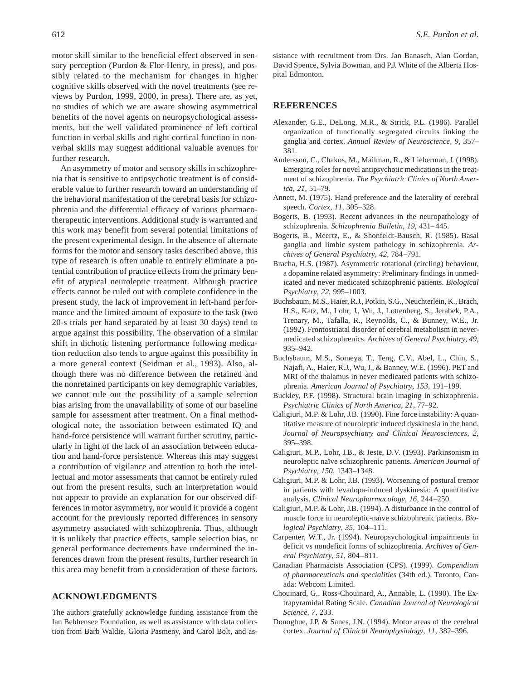motor skill similar to the beneficial effect observed in sensory perception (Purdon & Flor-Henry, in press), and possibly related to the mechanism for changes in higher cognitive skills observed with the novel treatments (see reviews by Purdon, 1999, 2000, in press). There are, as yet, no studies of which we are aware showing asymmetrical benefits of the novel agents on neuropsychological assessments, but the well validated prominence of left cortical function in verbal skills and right cortical function in nonverbal skills may suggest additional valuable avenues for further research.

An asymmetry of motor and sensory skills in schizophrenia that is sensitive to antipsychotic treatment is of considerable value to further research toward an understanding of the behavioral manifestation of the cerebral basis for schizophrenia and the differential efficacy of various pharmacotherapeutic interventions. Additional study is warranted and this work may benefit from several potential limitations of the present experimental design. In the absence of alternate forms for the motor and sensory tasks described above, this type of research is often unable to entirely eliminate a potential contribution of practice effects from the primary benefit of atypical neuroleptic treatment. Although practice effects cannot be ruled out with complete confidence in the present study, the lack of improvement in left-hand performance and the limited amount of exposure to the task (two 20-s trials per hand separated by at least 30 days) tend to argue against this possibility. The observation of a similar shift in dichotic listening performance following medication reduction also tends to argue against this possibility in a more general context (Seidman et al., 1993). Also, although there was no difference between the retained and the nonretained participants on key demographic variables, we cannot rule out the possibility of a sample selection bias arising from the unavailability of some of our baseline sample for assessment after treatment. On a final methodological note, the association between estimated IQ and hand-force persistence will warrant further scrutiny, particularly in light of the lack of an association between education and hand-force persistence. Whereas this may suggest a contribution of vigilance and attention to both the intellectual and motor assessments that cannot be entirely ruled out from the present results, such an interpretation would not appear to provide an explanation for our observed differences in motor asymmetry, nor would it provide a cogent account for the previously reported differences in sensory asymmetry associated with schizophrenia. Thus, although it is unlikely that practice effects, sample selection bias, or general performance decrements have undermined the inferences drawn from the present results, further research in this area may benefit from a consideration of these factors.

## **ACKNOWLEDGMENTS**

The authors gratefully acknowledge funding assistance from the Ian Bebbensee Foundation, as well as assistance with data collection from Barb Waldie, Gloria Pasmeny, and Carol Bolt, and assistance with recruitment from Drs. Jan Banasch, Alan Gordan, David Spence, Sylvia Bowman, and P.J. White of the Alberta Hospital Edmonton.

## **REFERENCES**

- Alexander, G.E., DeLong, M.R., & Strick, P.L. (1986). Parallel organization of functionally segregated circuits linking the ganglia and cortex. *Annual Review of Neuroscience*, *9*, 357– 381.
- Andersson, C., Chakos, M., Mailman, R., & Lieberman, J. (1998). Emerging roles for novel antipsychotic medications in the treatment of schizophrenia. *The Psychiatric Clinics of North America*, *21*, 51–79.
- Annett, M. (1975). Hand preference and the laterality of cerebral speech. *Cortex*, *11*, 305–328.
- Bogerts, B. (1993). Recent advances in the neuropathology of schizophrenia. *Schizophrenia Bulletin*, *19*, 431– 445.
- Bogerts, B., Meertz, E., & Shonfeldt-Bausch, R. (1985). Basal ganglia and limbic system pathology in schizophrenia. *Archives of General Psychiatry*, *42*, 784–791.
- Bracha, H.S. (1987). Asymmetric rotational (circling) behaviour, a dopamine related asymmetry: Preliminary findings in unmedicated and never medicated schizophrenic patients. *Biological Psychiatry*, *22*, 995–1003.
- Buchsbaum, M.S., Haier, R.J., Potkin, S.G., Neuchterlein, K., Brach, H.S., Katz, M., Lohr, J., Wu, J., Lottenberg, S., Jerabek, P.A., Trenary, M., Tafalla, R., Reynolds, C., & Bunney, W.E., Jr. (1992). Frontostriatal disorder of cerebral metabolism in nevermedicated schizophrenics. *Archives of General Psychiatry*, *49*, 935–942.
- Buchsbaum, M.S., Someya, T., Teng, C.V., Abel, L., Chin, S., Najafi, A., Haier, R.J., Wu, J., & Banney, W.E. (1996). PET and MRI of the thalamus in never medicated patients with schizophrenia. *American Journal of Psychiatry*, *153*, 191–199.
- Buckley, P.F. (1998). Structural brain imaging in schizophrenia. *Psychiatric Clinics of North America*, *21*, 77–92.
- Caligiuri, M.P. & Lohr, J.B. (1990). Fine force instability: A quantitative measure of neuroleptic induced dyskinesia in the hand. *Journal of Neuropsychiatry and Clinical Neurosciences*, *2*, 395–398.
- Caligiuri, M.P., Lohr, J.B., & Jeste, D.V. (1993). Parkinsonism in neuroleptic naïve schizophrenic patients. *American Journal of Psychiatry*, *150*, 1343–1348.
- Caligiuri, M.P. & Lohr, J.B. (1993). Worsening of postural tremor in patients with levadopa-induced dyskinesia: A quantitative analysis. *Clinical Neuropharmacology*, *16*, 244–250.
- Caligiuri, M.P. & Lohr, J.B. (1994). A disturbance in the control of muscle force in neuroleptic-naïve schizophrenic patients. *Biological Psychiatry*, *35*, 104–111.
- Carpenter, W.T., Jr. (1994). Neuropsychological impairments in deficit vs nondeficit forms of schizophrenia. *Archives of General Psychiatry*, *51*, 804–811.
- Canadian Pharmacists Association (CPS). (1999). *Compendium of pharmaceuticals and specialities* (34th ed.). Toronto, Canada: Webcom Limited.
- Chouinard, G., Ross-Chouinard, A., Annable, L. (1990). The Extrapyramidal Rating Scale. *Canadian Journal of Neurological Science*, *7*, 233.
- Donoghue, J.P. & Sanes, J.N. (1994). Motor areas of the cerebral cortex. *Journal of Clinical Neurophysiology*, *11*, 382–396.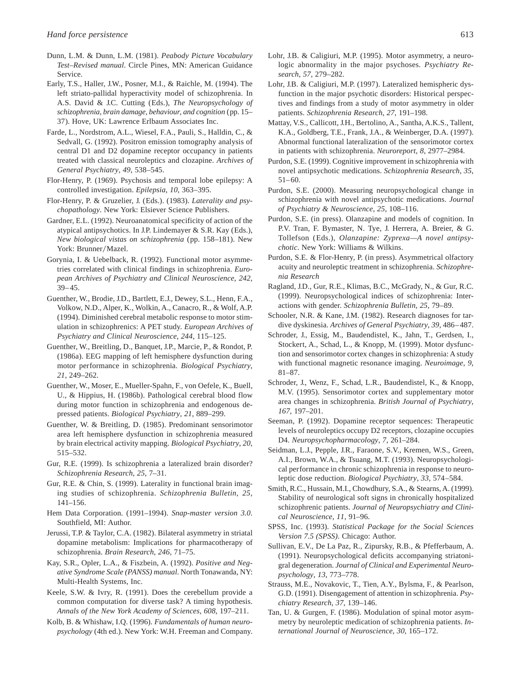- Dunn, L.M. & Dunn, L.M. (1981). *Peabody Picture Vocabulary Test–Revised manual*. Circle Pines, MN: American Guidance Service.
- Early, T.S., Haller, J.W., Posner, M.I., & Raichle, M. (1994). The left striato-pallidal hyperactivity model of schizophrenia. In A.S. David & J.C. Cutting (Eds.), *The Neuropsychology of schizophrenia, brain damage, behaviour, and cognition* (pp. 15– 37). Hove, UK: Lawrence Erlbaum Associates Inc.
- Farde, L., Nordstrom, A.L., Wiesel, F.A., Pauli, S., Halldin, C., & Sedvall, G. (1992). Positron emission tomography analysis of central D1 and D2 dopamine receptor occupancy in patients treated with classical neuroleptics and clozapine. *Archives of General Psychiatry*, *49*, 538–545.
- Flor-Henry, P. (1969). Psychosis and temporal lobe epilepsy: A controlled investigation. *Epilepsia*, *10*, 363–395.
- Flor-Henry, P. & Gruzelier, J. (Eds.). (1983). *Laterality and psychopathology*. New York: Elsiever Science Publishers.
- Gardner, E.L. (1992). Neuroanatomical specificity of action of the atypical antipsychotics. In J.P. Lindemayer & S.R. Kay (Eds.), *New biological vistas on schizophrenia* (pp. 158–181). New York: Brunner/Mazel.
- Gorynia, I. & Uebelback, R. (1992). Functional motor asymmetries correlated with clinical findings in schizophrenia. *European Archives of Psychiatry and Clinical Neuroscience*, *242*, 39–45.
- Guenther, W., Brodie, J.D., Bartlett, E.J., Dewey, S.L., Henn, F.A., Volkow, N.D., Alper, K., Wolkin, A., Canacro, R., & Wolf, A.P. (1994). Diminished cerebral metabolic response to motor stimulation in schizophrenics: A PET study. *European Archives of Psychiatry and Clinical Neuroscience*, *244*, 115–125.
- Guenther, W., Breitling, D., Banquet, J.P., Marcie, P., & Rondot, P. (1986a). EEG mapping of left hemisphere dysfunction during motor performance in schizophrenia. *Biological Psychiatry*, *21*, 249–262.
- Guenther, W., Moser, E., Mueller-Spahn, F., von Oefele, K., Buell, U., & Hippius, H. (1986b). Pathological cerebral blood flow during motor function in schizophrenia and endogenous depressed patients. *Biological Psychiatry*, *21*, 889–299.
- Guenther, W. & Breitling, D. (1985). Predominant sensorimotor area left hemisphere dysfunction in schizophrenia measured by brain electrical activity mapping. *Biological Psychiatry*, *20*, 515–532.
- Gur, R.E. (1999). Is schizophrenia a lateralized brain disorder? *Schizophrenia Research*, *25*, 7–31.
- Gur, R.E. & Chin, S. (1999). Laterality in functional brain imaging studies of schizophrenia. *Schizophrenia Bulletin*, *25*, 141–156.
- Hem Data Corporation. (1991–1994). *Snap-master version 3.0*. Southfield, MI: Author.
- Jerussi, T.P. & Taylor, C.A. (1982). Bilateral asymmetry in striatal dopamine metabolism: Implications for pharmacotherapy of schizophrenia. *Brain Research*, *246*, 71–75.
- Kay, S.R., Opler, L.A., & Fiszbein, A. (1992). *Positive and Negative Syndrome Scale (PANSS) manual*. North Tonawanda, NY: Multi-Health Systems, Inc.
- Keele, S.W. & Ivry, R. (1991). Does the cerebellum provide a common computation for diverse task? A timing hypothesis. *Annals of the New York Academy of Sciences*, *608*, 197–211.
- Kolb, B. & Whishaw, I.Q. (1996). *Fundamentals of human neuropsychology* (4th ed.). New York: W.H. Freeman and Company.
- Lohr, J.B. & Caligiuri, M.P. (1995). Motor asymmetry, a neurologic abnormality in the major psychoses. *Psychiatry Research*, *57*, 279–282.
- Lohr, J.B. & Caligiuri, M.P. (1997). Lateralized hemispheric dysfunction in the major psychotic disorders: Historical perspectives and findings from a study of motor asymmetry in older patients. *Schizophrenia Research*, *27*, 191–198.
- Mattay, V.S., Callicott, J.H., Bertolino, A., Santha, A.K.S., Tallent, K.A., Goldberg, T.E., Frank, J.A., & Weinberger, D.A. (1997). Abnormal functional lateralization of the sensorimotor cortex in patients with schizophrenia. *Neuroreport*, *8*, 2977–2984.
- Purdon, S.E. (1999). Cognitive improvement in schizophrenia with novel antipsychotic medications. *Schizophrenia Research*, *35*,  $51-60.$
- Purdon, S.E. (2000). Measuring neuropsychological change in schizophrenia with novel antipsychotic medications. *Journal of Psychiatry & Neuroscience*, *25*, 108–116.
- Purdon, S.E. (in press). Olanzapine and models of cognition. In P.V. Tran, F. Bymaster, N. Tye, J. Herrera, A. Breier, & G. Tollefson (Eds.), *Olanzapine: Zyprexa—A novel antipsychotic*. New York: Williams & Wilkins.
- Purdon, S.E. & Flor-Henry, P. (in press). Asymmetrical olfactory acuity and neuroleptic treatment in schizophrenia. *Schizophrenia Research*
- Ragland, J.D., Gur, R.E., Klimas, B.C., McGrady, N., & Gur, R.C. (1999). Neuropsychological indices of schizophrenia: Interactions with gender. *Schizophrenia Bulletin*, *25*, 79–89.
- Schooler, N.R. & Kane, J.M. (1982). Research diagnoses for tardive dyskinesia. *Archives of General Psychiatry*, *39*, 486–487.
- Schroder, J., Essig, M., Baudendistel, K., Jahn, T., Gerdsen, I., Stockert, A., Schad, L., & Knopp, M. (1999). Motor dysfunction and sensorimotor cortex changes in schizophrenia: A study with functional magnetic resonance imaging. *Neuroimage*, *9*, 81–87.
- Schroder, J., Wenz, F., Schad, L.R., Baudendistel, K., & Knopp, M.V. (1995). Sensorimotor cortex and supplementary motor area changes in schizophrenia. *British Journal of Psychiatry*, *167*, 197–201.
- Seeman, P. (1992). Dopamine receptor sequences: Therapeutic levels of neuroleptics occupy D2 receptors, clozapine occupies D4. *Neuropsychopharmacology*, *7*, 261–284.
- Seidman, L.J., Pepple, J.R., Faraone, S.V., Kremen, W.S., Green, A.I., Brown, W.A., & Tsuang, M.T. (1993). Neuropsychological performance in chronic schizophrenia in response to neuroleptic dose reduction. *Biological Psychiatry*, *33*, 574–584.
- Smith, R.C., Hussain, M.I., Chowdhury, S.A., & Stearns, A. (1999). Stability of neurological soft signs in chronically hospitalized schizophrenic patients. *Journal of Neuropsychiatry and Clinical Neuroscience*, *11*, 91–96.
- SPSS, Inc. (1993). *Statistical Package for the Social Sciences Version 7.5 (SPSS)*. Chicago: Author.
- Sullivan, E.V., De La Paz, R., Zipursky, R.B., & Pfefferbaum, A. (1991). Neuropsychological deficits accompanying striatonigral degeneration. *Journal of Clinical and Experimental Neuropsychology*, *13*, 773–778.
- Strauss, M.E., Novakovic, T., Tien, A.Y., Bylsma, F., & Pearlson, G.D. (1991). Disengagement of attention in schizophrenia. *Psychiatry Research*, *37*, 139–146.
- Tan, U. & Gurgen, F. (1986). Modulation of spinal motor asymmetry by neuroleptic medication of schizophrenia patients. *International Journal of Neuroscience*, *30*, 165–172.